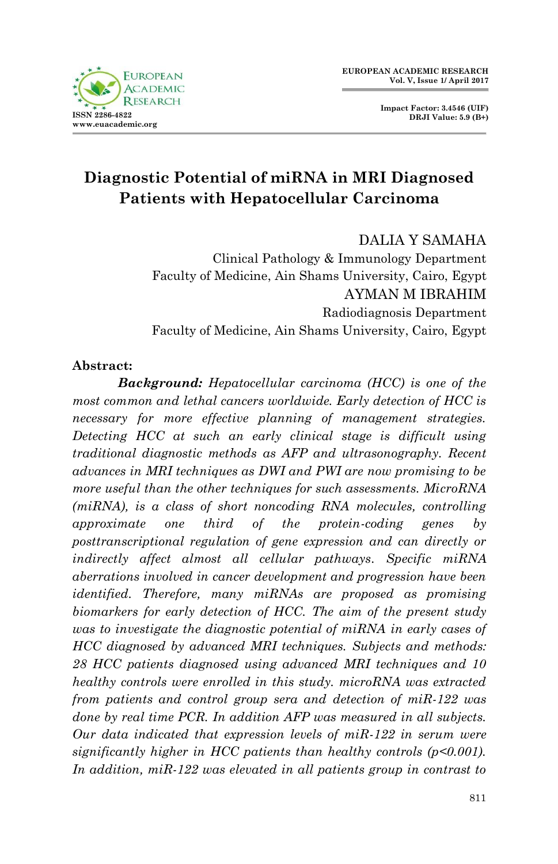



# **Diagnostic Potential of miRNA in MRI Diagnosed Patients with Hepatocellular Carcinoma**

DALIA Y SAMAHA

Clinical Pathology & Immunology Department Faculty of Medicine, Ain Shams University, Cairo, Egypt AYMAN M IBRAHIM Radiodiagnosis Department Faculty of Medicine, Ain Shams University, Cairo, Egypt

#### **Abstract:**

*Background: Hepatocellular carcinoma (HCC) is one of the most common and lethal cancers worldwide. Early detection of HCC is necessary for more effective planning of management strategies. Detecting HCC at such an early clinical stage is difficult using traditional diagnostic methods as AFP and ultrasonography. Recent advances in MRI techniques as DWI and PWI are now promising to be more useful than the other techniques for such assessments. MicroRNA (miRNA), is a class of short noncoding RNA molecules, controlling approximate one third of the protein-coding genes by posttranscriptional regulation of gene expression and can directly or indirectly affect almost all cellular pathways. Specific miRNA aberrations involved in cancer development and progression have been identified. Therefore, many miRNAs are proposed as promising biomarkers for early detection of HCC. The aim of the present study was to investigate the diagnostic potential of miRNA in early cases of HCC diagnosed by advanced MRI techniques. Subjects and methods: 28 HCC patients diagnosed using advanced MRI techniques and 10 healthy controls were enrolled in this study. microRNA was extracted from patients and control group sera and detection of miR-122 was done by real time PCR. In addition AFP was measured in all subjects. Our data indicated that expression levels of miR-122 in serum were significantly higher in HCC patients than healthy controls (p<0.001). In addition, miR-122 was elevated in all patients group in contrast to*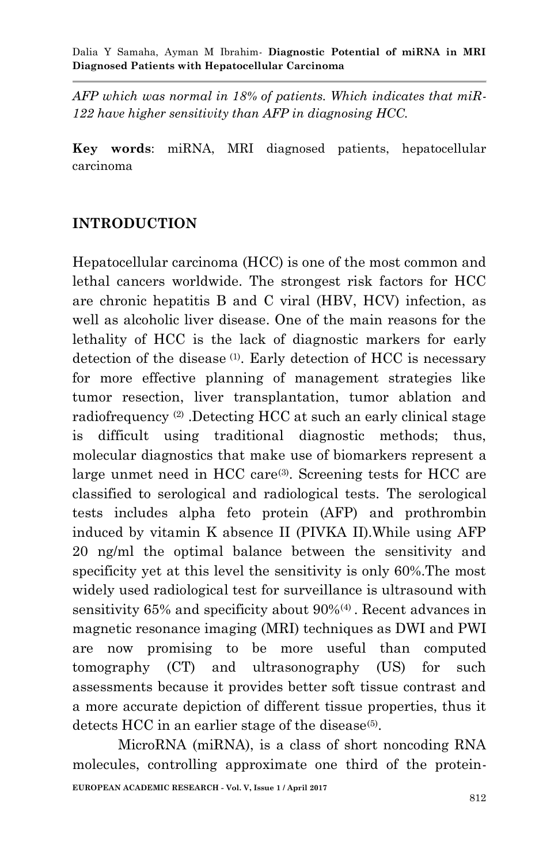*AFP which was normal in 18% of patients. Which indicates that miR-122 have higher sensitivity than AFP in diagnosing HCC.*

**Key words**: miRNA, MRI diagnosed patients, hepatocellular carcinoma

### **INTRODUCTION**

Hepatocellular carcinoma (HCC) is one of the most common and lethal cancers worldwide. The strongest risk factors for HCC are chronic hepatitis B and C viral (HBV, HCV) infection, as well as alcoholic liver disease. One of the main reasons for the lethality of HCC is the lack of diagnostic markers for early detection of the disease (1) . Early detection of HCC is necessary for more effective planning of management strategies like tumor resection, liver transplantation, tumor ablation and radiofrequency (2) .Detecting HCC at such an early clinical stage is difficult using traditional diagnostic methods; thus, molecular diagnostics that make use of biomarkers represent a large unmet need in HCC care<sup>(3)</sup>. Screening tests for HCC are classified to serological and radiological tests. The serological tests includes alpha feto protein (AFP) and prothrombin induced by vitamin K absence II (PIVKA II).While using AFP 20 ng/ml the optimal balance between the sensitivity and specificity yet at this level the sensitivity is only 60%.The most widely used radiological test for surveillance is ultrasound with sensitivity 65% and specificity about 90%<sup>(4)</sup>. Recent advances in magnetic resonance imaging (MRI) techniques as DWI and PWI are now promising to be more useful than computed tomography (CT) and ultrasonography (US) for such assessments because it provides better soft tissue contrast and a more accurate depiction of different tissue properties, thus it detects HCC in an earlier stage of the disease<sup>(5)</sup>.

**EUROPEAN ACADEMIC RESEARCH - Vol. V, Issue 1 / April 2017** MicroRNA (miRNA), is a class of short noncoding RNA molecules, controlling approximate one third of the protein-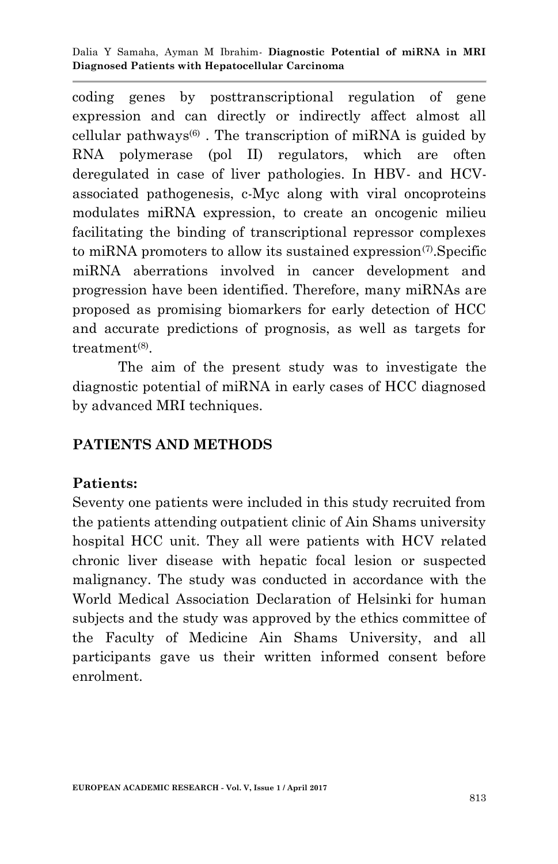coding genes by posttranscriptional regulation of gene expression and can directly or indirectly affect almost all cellular pathways $^{(6)}$ . The transcription of miRNA is guided by RNA polymerase (pol II) regulators, which are often deregulated in case of liver pathologies. In HBV- and HCVassociated pathogenesis, c-Myc along with viral oncoproteins modulates miRNA expression, to create an oncogenic milieu facilitating the binding of transcriptional repressor complexes to miRNA promoters to allow its sustained expression<sup>(7)</sup>. Specific miRNA aberrations involved in cancer development and progression have been identified. Therefore, many miRNAs are proposed as promising biomarkers for early detection of HCC and accurate predictions of prognosis, as well as targets for treatment<sup>(8)</sup>.

The aim of the present study was to investigate the diagnostic potential of miRNA in early cases of HCC diagnosed by advanced MRI techniques.

### **PATIENTS AND METHODS**

#### **Patients:**

Seventy one patients were included in this study recruited from the patients attending outpatient clinic of Ain Shams university hospital HCC unit. They all were patients with HCV related chronic liver disease with hepatic focal lesion or suspected malignancy. The study was conducted in accordance with the World Medical Association Declaration of Helsinki for human subjects and the study was approved by the ethics committee of the Faculty of Medicine Ain Shams University, and all participants gave us their written informed consent before enrolment.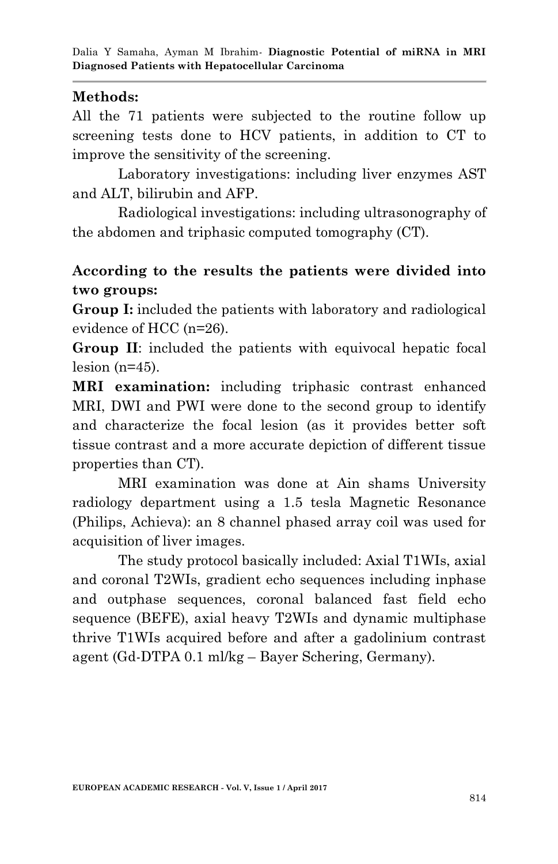### **Methods:**

All the 71 patients were subjected to the routine follow up screening tests done to HCV patients, in addition to CT to improve the sensitivity of the screening.

Laboratory investigations: including liver enzymes AST and ALT, bilirubin and AFP.

Radiological investigations: including ultrasonography of the abdomen and triphasic computed tomography (CT).

# **According to the results the patients were divided into two groups:**

**Group I:** included the patients with laboratory and radiological evidence of HCC (n=26).

**Group II**: included the patients with equivocal hepatic focal  $lesion (n=45)$ .

**MRI examination:** including triphasic contrast enhanced MRI, DWI and PWI were done to the second group to identify and characterize the focal lesion (as it provides better soft tissue contrast and a more accurate depiction of different tissue properties than CT).

MRI examination was done at Ain shams University radiology department using a 1.5 tesla Magnetic Resonance (Philips, Achieva): an 8 channel phased array coil was used for acquisition of liver images.

The study protocol basically included: Axial T1WIs, axial and coronal T2WIs, gradient echo sequences including inphase and outphase sequences, coronal balanced fast field echo sequence (BEFE), axial heavy T2WIs and dynamic multiphase thrive T1WIs acquired before and after a gadolinium contrast agent (Gd-DTPA 0.1 ml/kg – Bayer Schering, Germany).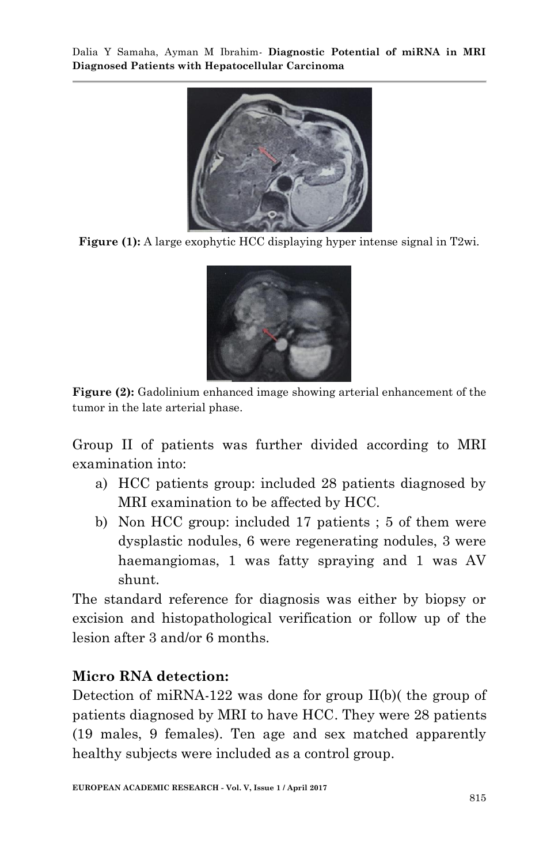

**Figure (1):** A large exophytic HCC displaying hyper intense signal in T2wi.



**Figure (2):** Gadolinium enhanced image showing arterial enhancement of the tumor in the late arterial phase.

Group II of patients was further divided according to MRI examination into:

- a) HCC patients group: included 28 patients diagnosed by MRI examination to be affected by HCC.
- b) Non HCC group: included 17 patients ; 5 of them were dysplastic nodules, 6 were regenerating nodules, 3 were haemangiomas, 1 was fatty spraying and 1 was AV shunt.

The standard reference for diagnosis was either by biopsy or excision and histopathological verification or follow up of the lesion after 3 and/or 6 months.

# **Micro RNA detection:**

Detection of miRNA-122 was done for group II(b)( the group of patients diagnosed by MRI to have HCC. They were 28 patients (19 males, 9 females). Ten age and sex matched apparently healthy subjects were included as a control group.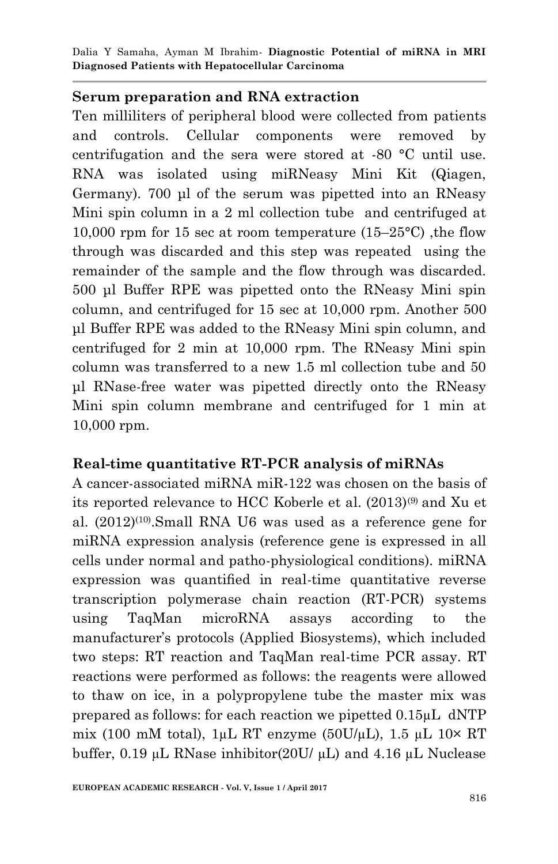#### **Serum preparation and RNA extraction**

Ten milliliters of peripheral blood were collected from patients and controls. Cellular components were removed by centrifugation and the sera were stored at -80 °C until use. RNA was isolated using miRNeasy Mini Kit (Qiagen, Germany). 700 μl of the serum was pipetted into an RNeasy Mini spin column in a 2 ml collection tube and centrifuged at 10,000 rpm for 15 sec at room temperature  $(15-25^{\circ}C)$ , the flow through was discarded and this step was repeated using the remainder of the sample and the flow through was discarded. 500 μl Buffer RPE was pipetted onto the RNeasy Mini spin column, and centrifuged for 15 sec at 10,000 rpm. Another 500 μl Buffer RPE was added to the RNeasy Mini spin column, and centrifuged for 2 min at 10,000 rpm. The RNeasy Mini spin column was transferred to a new 1.5 ml collection tube and 50 μl RNase-free water was pipetted directly onto the RNeasy Mini spin column membrane and centrifuged for 1 min at 10,000 rpm.

### **Real-time quantitative RT-PCR analysis of miRNAs**

A cancer-associated miRNA miR-122 was chosen on the basis of its reported relevance to HCC Koberle et al. (2013)(9) and Xu et al.  $(2012)^{(10)}$ . Small RNA U6 was used as a reference gene for miRNA expression analysis (reference gene is expressed in all cells under normal and patho-physiological conditions). miRNA expression was quantified in real-time quantitative reverse transcription polymerase chain reaction (RT-PCR) systems using TaqMan microRNA assays according to the manufacturer's protocols (Applied Biosystems), which included two steps: RT reaction and TaqMan real-time PCR assay. RT reactions were performed as follows: the reagents were allowed to thaw on ice, in a polypropylene tube the master mix was prepared as follows: for each reaction we pipetted 0.15µL dNTP mix (100 mM total), 1µL RT enzyme ( $50U/L$ ), 1.5 µL 10× RT buffer, 0.19 µL RNase inhibitor(20U/  $\mu$ L) and 4.16  $\mu$ L Nuclease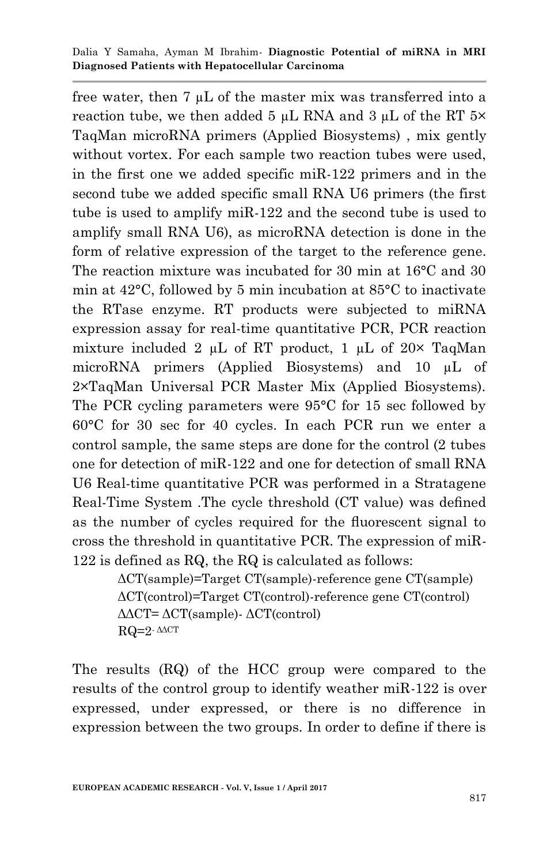free water, then 7 µL of the master mix was transferred into a reaction tube, we then added 5  $\mu$ L RNA and 3  $\mu$ L of the RT 5× TaqMan microRNA primers (Applied Biosystems) , mix gently without vortex. For each sample two reaction tubes were used, in the first one we added specific miR-122 primers and in the second tube we added specific small RNA U6 primers (the first tube is used to amplify miR-122 and the second tube is used to amplify small RNA U6), as microRNA detection is done in the form of relative expression of the target to the reference gene. The reaction mixture was incubated for 30 min at 16°C and 30 min at 42°C, followed by 5 min incubation at 85°C to inactivate the RTase enzyme. RT products were subjected to miRNA expression assay for real-time quantitative PCR, PCR reaction mixture included 2  $\mu$ L of RT product, 1  $\mu$ L of 20× TaqMan microRNA primers (Applied Biosystems) and 10 µL of 2×TaqMan Universal PCR Master Mix (Applied Biosystems). The PCR cycling parameters were 95°C for 15 sec followed by 60°C for 30 sec for 40 cycles. In each PCR run we enter a control sample, the same steps are done for the control (2 tubes one for detection of miR-122 and one for detection of small RNA U6 Real-time quantitative PCR was performed in a Stratagene Real-Time System .The cycle threshold (CT value) was defined as the number of cycles required for the fluorescent signal to cross the threshold in quantitative PCR. The expression of miR-122 is defined as RQ, the RQ is calculated as follows:

> ΔCT(sample)=Target CT(sample)-reference gene CT(sample) ΔCT(control)=Target CT(control)-reference gene CT(control) ΔΔCT= ΔCT(sample)- ΔCT(control)  $RQ=2$ -  $\triangle$ ACT

The results (RQ) of the HCC group were compared to the results of the control group to identify weather miR-122 is over expressed, under expressed, or there is no difference in expression between the two groups. In order to define if there is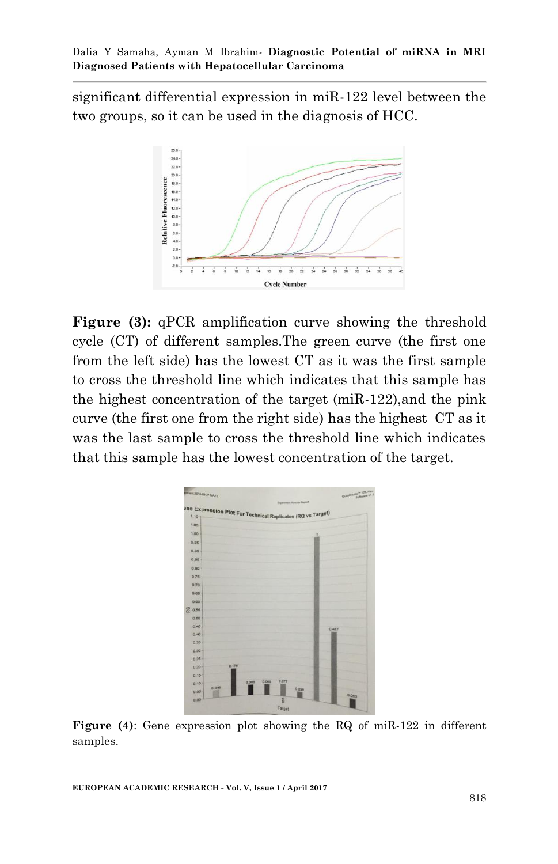significant differential expression in miR-122 level between the two groups, so it can be used in the diagnosis of HCC.



**Figure (3):** qPCR amplification curve showing the threshold cycle (CT) of different samples.The green curve (the first one from the left side) has the lowest CT as it was the first sample to cross the threshold line which indicates that this sample has the highest concentration of the target (miR-122),and the pink curve (the first one from the right side) has the highest CT as it was the last sample to cross the threshold line which indicates that this sample has the lowest concentration of the target.



**Figure (4)**: Gene expression plot showing the RQ of miR-122 in different samples.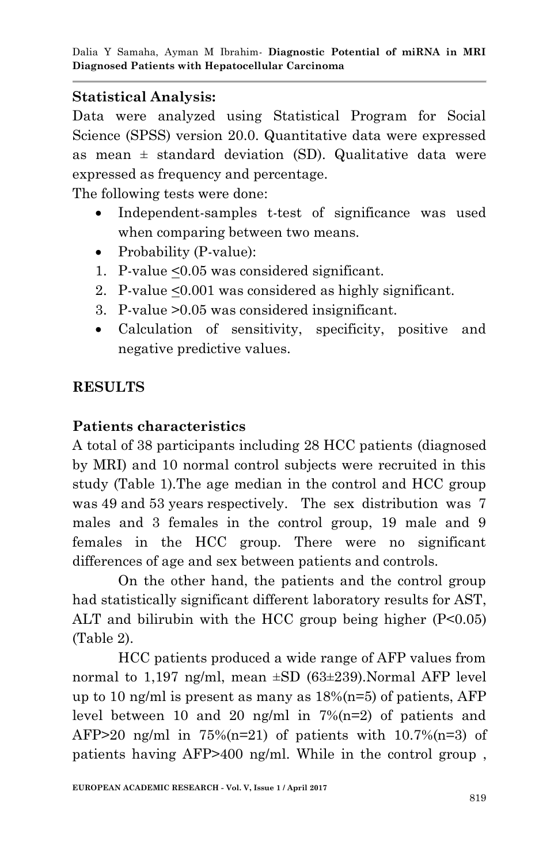# **Statistical Analysis:**

Data were analyzed using Statistical Program for Social Science (SPSS) version 20.0. Quantitative data were expressed as mean  $\pm$  standard deviation (SD). Qualitative data were expressed as frequency and percentage.

The following tests were done:

- Independent-samples t-test of significance was used when comparing between two means.
- Probability (P-value):
- 1. P-value <0.05 was considered significant.
- 2. P-value <0.001 was considered as highly significant.
- 3. P-value >0.05 was considered insignificant.
- Calculation of sensitivity, specificity, positive and negative predictive values.

# **RESULTS**

# **Patients characteristics**

A total of 38 participants including 28 HCC patients (diagnosed by MRI) and 10 normal control subjects were recruited in this study (Table 1).The age median in the control and HCC group was 49 and 53 years respectively. The sex distribution was 7 males and 3 females in the control group, 19 male and 9 females in the HCC group. There were no significant differences of age and sex between patients and controls.

On the other hand, the patients and the control group had statistically significant different laboratory results for AST, ALT and bilirubin with the HCC group being higher  $(P<0.05)$ (Table 2).

HCC patients produced a wide range of AFP values from normal to 1,197 ng/ml, mean  $\pm SD$  (63 $\pm 239$ ). Normal AFP level up to 10 ng/ml is present as many as  $18\%$  (n=5) of patients, AFP level between 10 and 20 ng/ml in  $7\frac{m}{2}$  of patients and AFP $>20$  ng/ml in 75% $(n=21)$  of patients with 10.7% $(n=3)$  of patients having AFP>400 ng/ml. While in the control group ,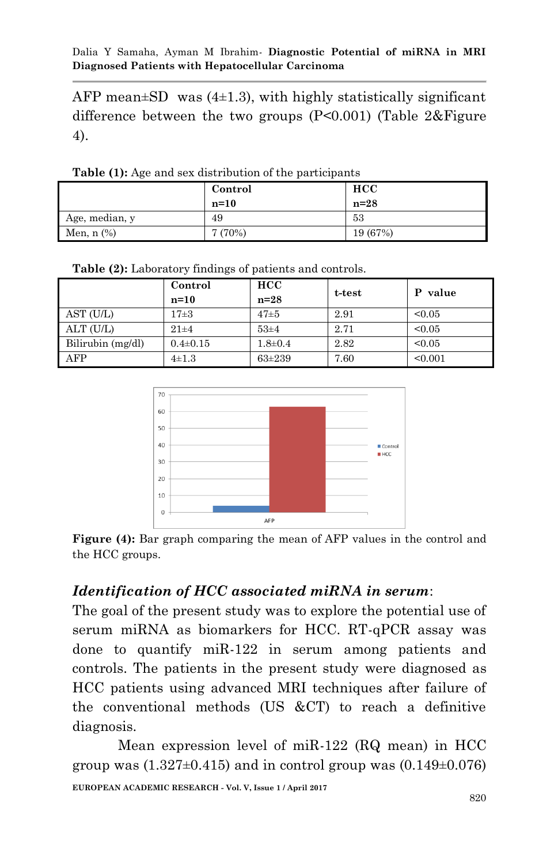AFP mean $\pm$ SD was (4 $\pm$ 1.3), with highly statistically significant difference between the two groups (P<0.001) (Table 2&Figure 4).

|                 | Control<br>$n=10$ | <b>HCC</b><br>$n=28$ |
|-----------------|-------------------|----------------------|
| Age, median, y  | 49                | 53                   |
| Men, $n$ $(\%)$ | 7(70%)            | 19 (67%)             |

**Table (1):** Age and sex distribution of the participants

|                   | Control        | <b>HCC</b>  | t-test | P value |
|-------------------|----------------|-------------|--------|---------|
|                   | $n=10$         | $n=28$      |        |         |
| AST (U/L)         | $17\pm3$       | $47\pm5$    | 2.91   | < 0.05  |
| ALT (U/L)         | $21\pm4$       | $53 + 4$    | 2.71   | < 0.05  |
| Bilirubin (mg/dl) | $0.4 \pm 0.15$ | $1.8 + 0.4$ | 2.82   | < 0.05  |
| AFP               | $4\pm1.3$      | $63 + 239$  | 7.60   | < 0.001 |

**Table (2):** Laboratory findings of patients and controls.



Figure (4): Bar graph comparing the mean of AFP values in the control and the HCC groups.

### *Identification of HCC associated miRNA in serum*:

The goal of the present study was to explore the potential use of serum miRNA as biomarkers for HCC. RT-qPCR assay was done to quantify miR-122 in serum among patients and controls. The patients in the present study were diagnosed as HCC patients using advanced MRI techniques after failure of the conventional methods (US &CT) to reach a definitive diagnosis.

**EUROPEAN ACADEMIC RESEARCH - Vol. V, Issue 1 / April 2017** Mean expression level of miR-122 (RQ mean) in HCC group was  $(1.327\pm0.415)$  and in control group was  $(0.149\pm0.076)$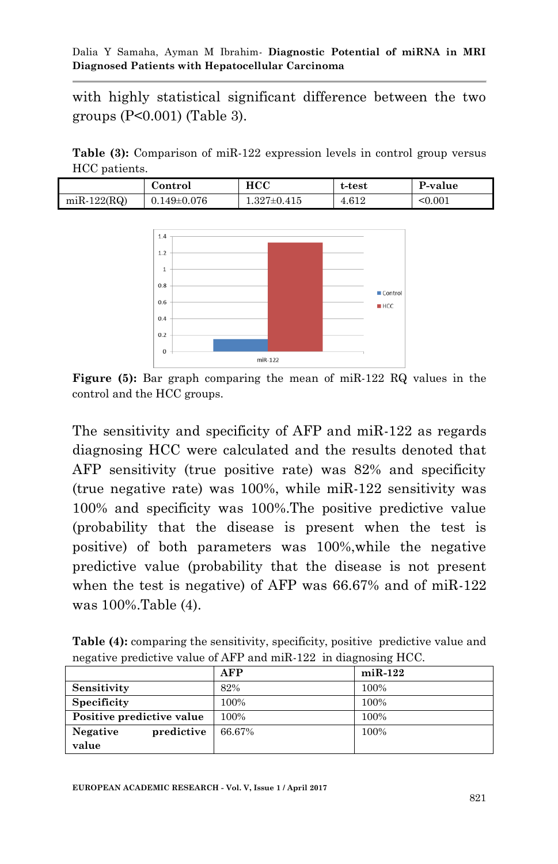with highly statistical significant difference between the two groups (P<0.001) (Table 3).

**Table (3):** Comparison of miR-122 expression levels in control group versus HCC patients.

|               | Control           | $_{\rm HCC}$      | t-test | P-value |
|---------------|-------------------|-------------------|--------|---------|
| $miR-122(RQ)$ | $0.149 \pm 0.076$ | $1.327 \pm 0.415$ | 4.612  | < 0.001 |



**Figure (5):** Bar graph comparing the mean of miR-122 RQ values in the control and the HCC groups.

The sensitivity and specificity of AFP and miR-122 as regards diagnosing HCC were calculated and the results denoted that AFP sensitivity (true positive rate) was 82% and specificity (true negative rate) was 100%, while miR-122 sensitivity was 100% and specificity was 100%.The positive predictive value (probability that the disease is present when the test is positive) of both parameters was 100%,while the negative predictive value (probability that the disease is not present when the test is negative) of AFP was 66.67% and of miR-122 was 100%.Table (4).

| <b>Table (4):</b> comparing the sensitivity, specificity, positive predictive value and |  |
|-----------------------------------------------------------------------------------------|--|
| negative predictive value of AFP and miR-122 in diagnosing HCC.                         |  |

|                               | <b>AFP</b> | $miR-122$ |
|-------------------------------|------------|-----------|
| Sensitivity                   | 82%        | 100%      |
| <b>Specificity</b>            | 100%       | 100%      |
| Positive predictive value     | 100%       | 100%      |
| predictive<br><b>Negative</b> | 66.67%     | 100%      |
| value                         |            |           |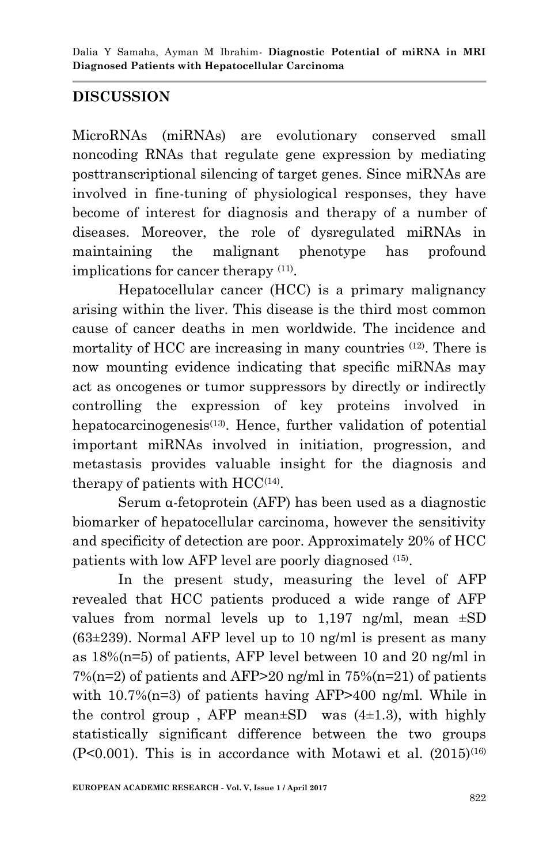# **DISCUSSION**

MicroRNAs (miRNAs) are evolutionary conserved small noncoding RNAs that regulate gene expression by mediating posttranscriptional silencing of target genes. Since miRNAs are involved in fine-tuning of physiological responses, they have become of interest for diagnosis and therapy of a number of diseases. Moreover, the role of dysregulated miRNAs in maintaining the malignant phenotype has profound implications for cancer therapy <sup>(11)</sup>.

Hepatocellular cancer (HCC) is a primary malignancy arising within the liver. This disease is the third most common cause of cancer deaths in men worldwide. The incidence and mortality of HCC are increasing in many countries <sup>(12)</sup>. There is now mounting evidence indicating that specific miRNAs may act as oncogenes or tumor suppressors by directly or indirectly controlling the expression of key proteins involved in hepatocarcinogenesis<sup>(13)</sup>. Hence, further validation of potential important miRNAs involved in initiation, progression, and metastasis provides valuable insight for the diagnosis and therapy of patients with  $HCC<sup>(14)</sup>$ .

Serum α-fetoprotein (AFP) has been used as a diagnostic biomarker of hepatocellular carcinoma, however the sensitivity and specificity of detection are poor. Approximately 20% of HCC patients with low AFP level are poorly diagnosed (15) .

In the present study, measuring the level of AFP revealed that HCC patients produced a wide range of AFP values from normal levels up to  $1,197$  ng/ml, mean  $\pm SD$  $(63\pm239)$ . Normal AFP level up to 10 ng/ml is present as many as 18%(n=5) of patients, AFP level between 10 and 20 ng/ml in  $7\%$ (n=2) of patients and AFP>20 ng/ml in  $75\%$ (n=21) of patients with 10.7%(n=3) of patients having AFP>400 ng/ml. While in the control group, AFP mean $\pm SD$  was  $(4\pm 1.3)$ , with highly statistically significant difference between the two groups  $(P<0.001)$ . This is in accordance with Motawi et al.  $(2015)^{(16)}$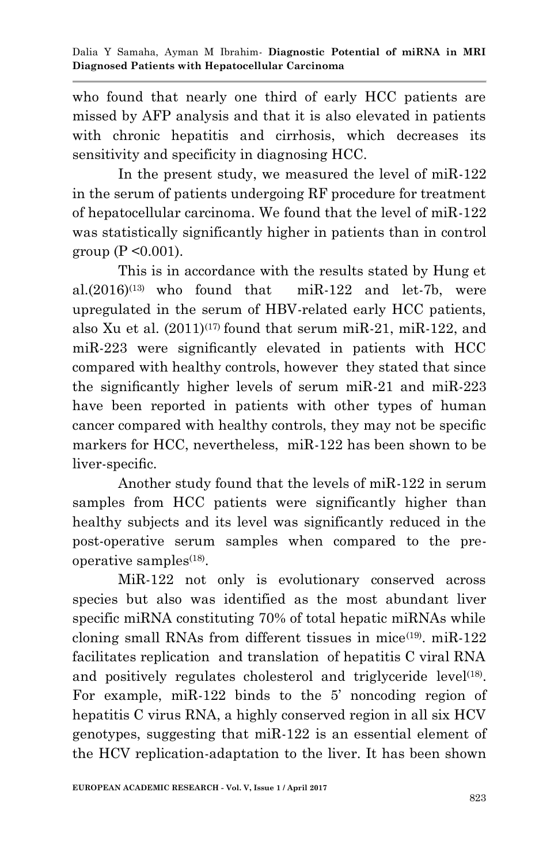who found that nearly one third of early HCC patients are missed by AFP analysis and that it is also elevated in patients with chronic hepatitis and cirrhosis, which decreases its sensitivity and specificity in diagnosing HCC.

In the present study, we measured the level of miR-122 in the serum of patients undergoing RF procedure for treatment of hepatocellular carcinoma. We found that the level of miR-122 was statistically significantly higher in patients than in control group ( $P \le 0.001$ ).

This is in accordance with the results stated by Hung et al. $(2016)^{(13)}$  who found that miR-122 and let-7b, were upregulated in the serum of HBV-related early HCC patients, also Xu et al.  $(2011)^{(17)}$  found that serum miR-21, miR-122, and miR-223 were significantly elevated in patients with HCC compared with healthy controls, however they stated that since the significantly higher levels of serum miR-21 and miR-223 have been reported in patients with other types of human cancer compared with healthy controls, they may not be specific markers for HCC, nevertheless, miR-122 has been shown to be liver-specific.

Another study found that the levels of miR-122 in serum samples from HCC patients were significantly higher than healthy subjects and its level was significantly reduced in the post-operative serum samples when compared to the preoperative samples $(18)$ .

MiR-122 not only is evolutionary conserved across species but also was identified as the most abundant liver specific miRNA constituting 70% of total hepatic miRNAs while cloning small RNAs from different tissues in mice<sup>(19)</sup>. miR-122 facilitates replication and translation of hepatitis C viral RNA and positively regulates cholesterol and triglyceride level<sup>(18)</sup>. For example, miR-122 binds to the 5' noncoding region of hepatitis C virus RNA, a highly conserved region in all six HCV genotypes, suggesting that miR-122 is an essential element of the HCV replication-adaptation to the liver. It has been shown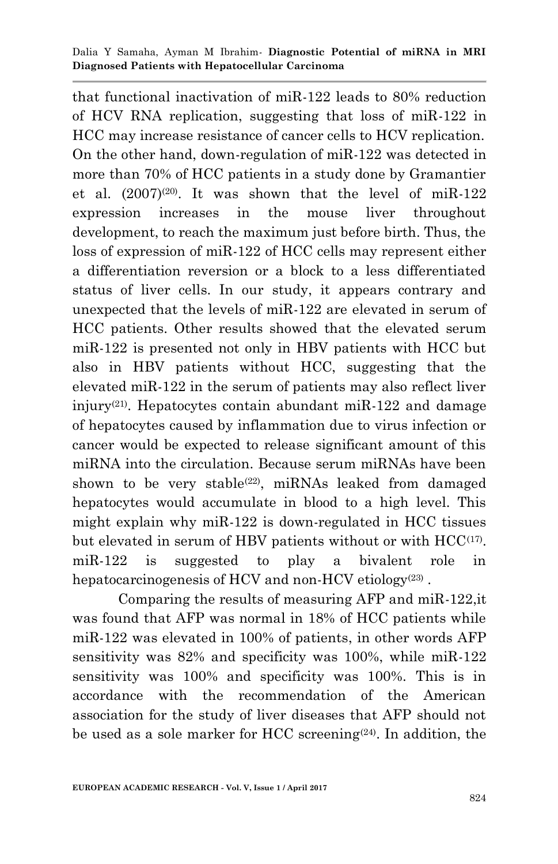that functional inactivation of miR-122 leads to 80% reduction of HCV RNA replication, suggesting that loss of miR-122 in HCC may increase resistance of cancer cells to HCV replication. On the other hand, down-regulation of miR-122 was detected in more than 70% of HCC patients in a study done by Gramantier et al.  $(2007)^{(20)}$ . It was shown that the level of miR-122 expression increases in the mouse liver throughout development, to reach the maximum just before birth. Thus, the loss of expression of miR-122 of HCC cells may represent either a differentiation reversion or a block to a less differentiated status of liver cells. In our study, it appears contrary and unexpected that the levels of miR-122 are elevated in serum of HCC patients. Other results showed that the elevated serum miR-122 is presented not only in HBV patients with HCC but also in HBV patients without HCC, suggesting that the elevated miR-122 in the serum of patients may also reflect liver injury(21) . Hepatocytes contain abundant miR-122 and damage of hepatocytes caused by inflammation due to virus infection or cancer would be expected to release significant amount of this miRNA into the circulation. Because serum miRNAs have been shown to be very stable<sup>(22)</sup>, miRNAs leaked from damaged hepatocytes would accumulate in blood to a high level. This might explain why miR-122 is down-regulated in HCC tissues but elevated in serum of HBV patients without or with HCC<sup>(17)</sup>. miR-122 is suggested to play a bivalent role in hepatocarcinogenesis of HCV and non-HCV etiology<sup>(23)</sup>.

Comparing the results of measuring AFP and miR-122,it was found that AFP was normal in 18% of HCC patients while miR-122 was elevated in 100% of patients, in other words AFP sensitivity was 82% and specificity was 100%, while miR-122 sensitivity was 100% and specificity was 100%. This is in accordance with the recommendation of the American association for the study of liver diseases that AFP should not be used as a sole marker for HCC screening<sup>(24)</sup>. In addition, the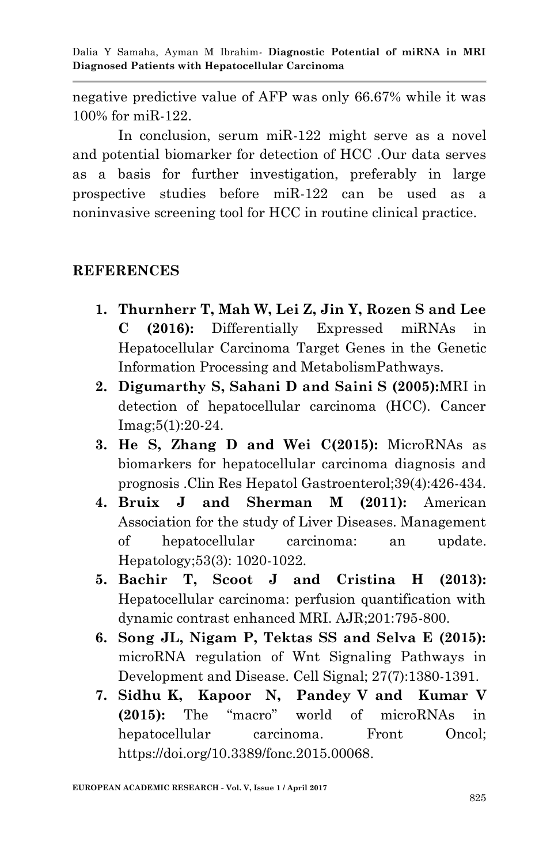negative predictive value of AFP was only 66.67% while it was 100% for miR-122.

In conclusion, serum miR-122 might serve as a novel and potential biomarker for detection of HCC .Our data serves as a basis for further investigation, preferably in large prospective studies before miR-122 can be used as a noninvasive screening tool for HCC in routine clinical practice.

### **REFERENCES**

- **1. Thurnherr T, Mah W, Lei Z, Jin Y, Rozen S and Lee C (2016):** Differentially Expressed miRNAs in Hepatocellular Carcinoma Target Genes in the Genetic Information Processing and MetabolismPathways.
- **2. Digumarthy S, Sahani D and Saini S (2005):**MRI in detection of hepatocellular carcinoma (HCC). Cancer Imag;5(1):20-24.
- **3. He S, Zhang D and Wei C(2015):** MicroRNAs as biomarkers for hepatocellular carcinoma diagnosis and prognosis .Clin Res Hepatol Gastroenterol;39(4):426-434.
- **4. Bruix J and Sherman M (2011):** American Association for the study of Liver Diseases. Management of hepatocellular carcinoma: an update. Hepatology;53(3): 1020-1022.
- **5. Bachir T, Scoot J and Cristina H (2013):** Hepatocellular carcinoma: perfusion quantification with dynamic contrast enhanced MRI. AJR;201:795-800.
- **6. Song JL, Nigam P, Tektas SS and Selva E (2015):**  microRNA regulation of Wnt Signaling Pathways in Development and Disease. Cell Signal; 27(7):1380-1391.
- **7. Sidhu K, Kapoor N, Pandey V and Kumar V (2015):** The "macro" world of microRNAs in hepatocellular carcinoma. Front Oncol; https://doi.org/10.3389/fonc.2015.00068.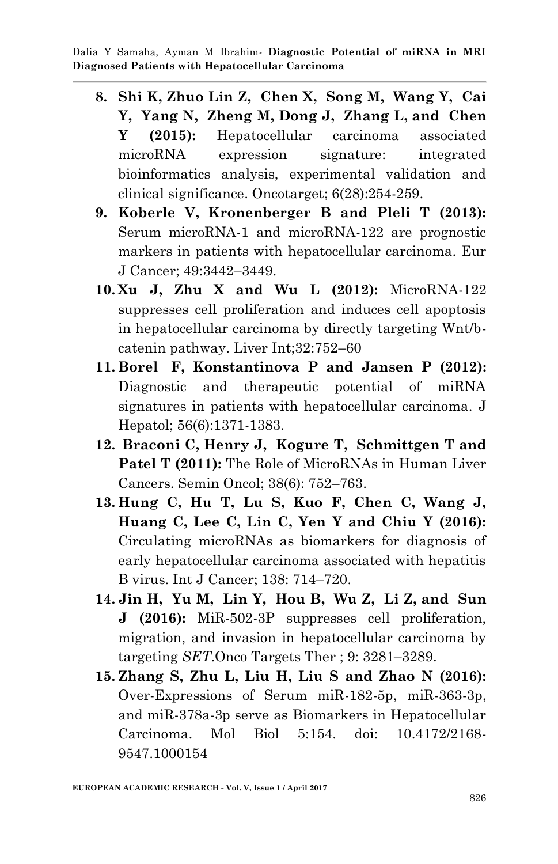- **8. [Shi](https://www.ncbi.nlm.nih.gov/pubmed/?term=Shi%20KQ%5BAuthor%5D&cauthor=true&cauthor_uid=26231037) K, [Zhuo Lin](https://www.ncbi.nlm.nih.gov/pubmed/?term=Lin%20Z%5BAuthor%5D&cauthor=true&cauthor_uid=26231037) Z, [Chen](https://www.ncbi.nlm.nih.gov/pubmed/?term=Chen%20XJ%5BAuthor%5D&cauthor=true&cauthor_uid=26231037) X, [Song](https://www.ncbi.nlm.nih.gov/pubmed/?term=Song%20M%5BAuthor%5D&cauthor=true&cauthor_uid=26231037) M, [Wang](https://www.ncbi.nlm.nih.gov/pubmed/?term=Wang%20YQ%5BAuthor%5D&cauthor=true&cauthor_uid=26231037) Y, [Cai](https://www.ncbi.nlm.nih.gov/pubmed/?term=Cai%20YJ%5BAuthor%5D&cauthor=true&cauthor_uid=26231037) Y, [Yang](https://www.ncbi.nlm.nih.gov/pubmed/?term=Yang%20NB%5BAuthor%5D&cauthor=true&cauthor_uid=26231037) N, [Zheng](https://www.ncbi.nlm.nih.gov/pubmed/?term=Zheng%20MH%5BAuthor%5D&cauthor=true&cauthor_uid=26231037) M, [Dong](https://www.ncbi.nlm.nih.gov/pubmed/?term=Dong%20JZ%5BAuthor%5D&cauthor=true&cauthor_uid=26231037) J, [Zhang](https://www.ncbi.nlm.nih.gov/pubmed/?term=Zhang%20L%5BAuthor%5D&cauthor=true&cauthor_uid=26231037) L, and [Chen](https://www.ncbi.nlm.nih.gov/pubmed/?term=Chen%20YP%5BAuthor%5D&cauthor=true&cauthor_uid=26231037) Y (2015):** Hepatocellular carcinoma associated microRNA expression signature: integrated bioinformatics analysis, experimental validation and clinical significance. Oncotarget; 6(28):254-259.
- **9. Koberle V, Kronenberger B and Pleli T (2013):**  Serum microRNA-1 and microRNA-122 are prognostic markers in patients with hepatocellular carcinoma. Eur J Cancer; 49:3442–3449.
- **10. Xu J, Zhu X and Wu L (2012):** MicroRNA-122 suppresses cell proliferation and induces cell apoptosis in hepatocellular carcinoma by directly targeting Wnt/bcatenin pathway. Liver Int;32:752–60
- **11. [Borel](http://www.sciencedirect.com/science/article/pii/S0168827812000840) F, [Konstantinova](http://www.sciencedirect.com/science/article/pii/S0168827812000840) P and [Jansen](http://www.sciencedirect.com/science/article/pii/S0168827812000840) P (2012):** Diagnostic and therapeutic potential of miRNA signatures in patients with hepatocellular carcinoma. J Hepatol; 56(6):1371-1383.
- **12. [Braconi](https://www.ncbi.nlm.nih.gov/pubmed/?term=Braconi%20C%5BAuthor%5D&cauthor=true&cauthor_uid=22082761) C, [Henry](https://www.ncbi.nlm.nih.gov/pubmed/?term=Henry%20JC%5BAuthor%5D&cauthor=true&cauthor_uid=22082761) J, [Kogure](https://www.ncbi.nlm.nih.gov/pubmed/?term=Kogure%20T%5BAuthor%5D&cauthor=true&cauthor_uid=22082761) T, [Schmittgen](https://www.ncbi.nlm.nih.gov/pubmed/?term=Schmittgen%20T%5BAuthor%5D&cauthor=true&cauthor_uid=22082761) T and [Patel](https://www.ncbi.nlm.nih.gov/pubmed/?term=Patel%20T%5BAuthor%5D&cauthor=true&cauthor_uid=22082761) T (2011):** The Role of MicroRNAs in Human Liver Cancers. [Semin Oncol; 38\(6\): 752](https://www.ncbi.nlm.nih.gov/entrez/eutils/elink.fcgi?dbfrom=pubmed&retmode=ref&cmd=prlinks&id=22082761)–763.
- **13. Hung C, Hu T, Lu S, Kuo F, Chen C, Wang J, Huang C, Lee C, Lin C, Yen Y and Chiu Y (2016):**  Circulating microRNAs as biomarkers for diagnosis of early hepatocellular carcinoma associated with hepatitis B virus. Int J Cancer; 138: 714–720.
- **14. [Jin](https://www.ncbi.nlm.nih.gov/pubmed/?term=Jin%20H%5BAuthor%5D&cauthor=true&cauthor_uid=27330307) H, [Yu](https://www.ncbi.nlm.nih.gov/pubmed/?term=Yu%20M%5BAuthor%5D&cauthor=true&cauthor_uid=27330307) M, [Lin](https://www.ncbi.nlm.nih.gov/pubmed/?term=Lin%20Y%5BAuthor%5D&cauthor=true&cauthor_uid=27330307) Y, [Hou](https://www.ncbi.nlm.nih.gov/pubmed/?term=Hou%20B%5BAuthor%5D&cauthor=true&cauthor_uid=27330307) B, [Wu](https://www.ncbi.nlm.nih.gov/pubmed/?term=Wu%20Z%5BAuthor%5D&cauthor=true&cauthor_uid=27330307) Z, [Li](https://www.ncbi.nlm.nih.gov/pubmed/?term=Li%20Z%5BAuthor%5D&cauthor=true&cauthor_uid=27330307) Z, and [Sun](https://www.ncbi.nlm.nih.gov/pubmed/?term=Sun%20J%5BAuthor%5D&cauthor=true&cauthor_uid=27330307) J (2016):** MiR-502-3P suppresses cell proliferation, migration, and invasion in hepatocellular carcinoma by targeting *SET*[.Onco Targets Ther](https://www.ncbi.nlm.nih.gov/pmc/articles/PMC4898420/) ; 9: 3281–3289.
- **15. Zhang S, Zhu L, Liu H, Liu S and Zhao N (2016):** Over-Expressions of Serum miR-182-5p, miR-363-3p, and miR-378a-3p serve as Biomarkers in Hepatocellular Carcinoma. Mol Biol 5:154. doi: 10.4172/2168- 9547.1000154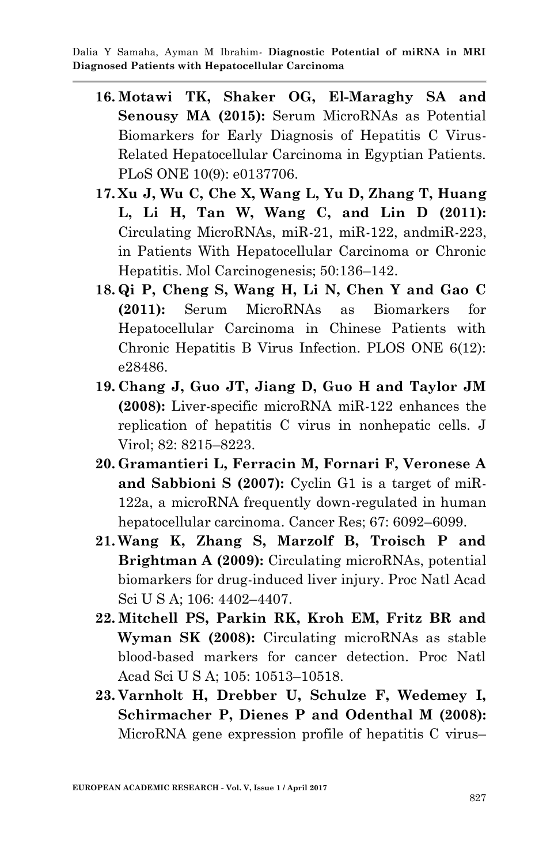- **16. Motawi TK, Shaker OG, El-Maraghy SA and Senousy MA (2015):** Serum MicroRNAs as Potential Biomarkers for Early Diagnosis of Hepatitis C Virus-Related Hepatocellular Carcinoma in Egyptian Patients. PLoS ONE 10(9): e0137706.
- **17. Xu J, Wu C, Che X, Wang L, Yu D, Zhang T, Huang L, Li H, Tan W, Wang C, and Lin D (2011):** Circulating MicroRNAs, miR-21, miR-122, andmiR-223, in Patients With Hepatocellular Carcinoma or Chronic Hepatitis. Mol Carcinogenesis; 50:136–142.
- **18. Qi P, Cheng S, Wang H, Li N, Chen Y and Gao C (2011):** Serum MicroRNAs as Biomarkers for Hepatocellular Carcinoma in Chinese Patients with Chronic Hepatitis B Virus Infection. PLOS ONE 6(12): e28486.
- **19. Chang J, Guo JT, Jiang D, Guo H and Taylor JM (2008):** Liver-specific microRNA miR-122 enhances the replication of hepatitis C virus in nonhepatic cells. J Virol; 82: 8215–8223.
- **20. Gramantieri L, Ferracin M, Fornari F, Veronese A and Sabbioni S (2007):** Cyclin G1 is a target of miR-122a, a microRNA frequently down-regulated in human hepatocellular carcinoma. Cancer Res; 67: 6092–6099.
- **21. Wang K, Zhang S, Marzolf B, Troisch P and Brightman A (2009):** Circulating microRNAs, potential biomarkers for drug-induced liver injury. Proc Natl Acad Sci U S A; 106: 4402–4407.
- **22. Mitchell PS, Parkin RK, Kroh EM, Fritz BR and Wyman SK (2008):** Circulating microRNAs as stable blood-based markers for cancer detection. Proc Natl Acad Sci U S A; 105: 10513–10518.
- **23. Varnholt H, Drebber U, Schulze F, Wedemey I, Schirmacher P, Dienes P and Odenthal M (2008):**  MicroRNA gene expression profile of hepatitis C virus–